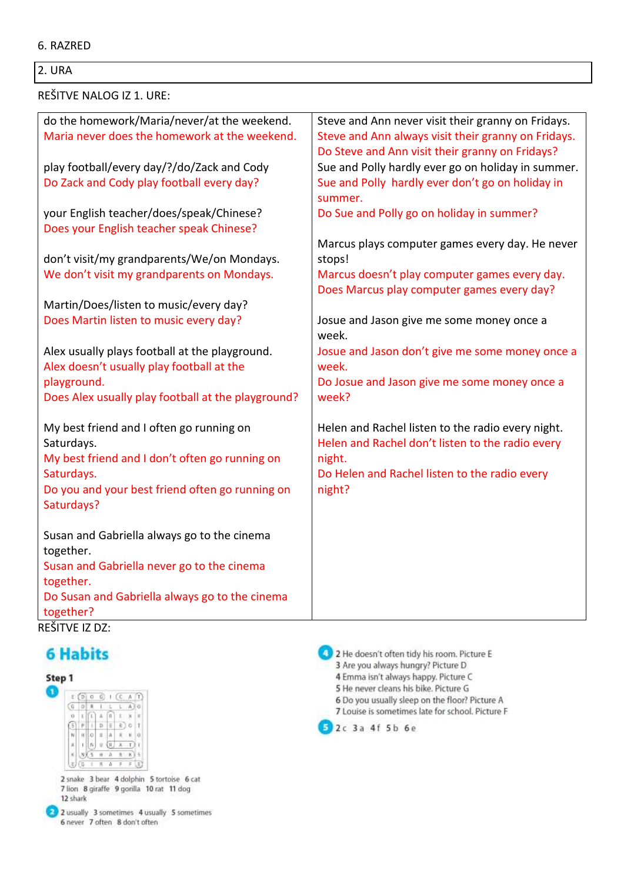#### 2. URA

#### REŠITVE NALOG IZ 1. URE:

| do the homework/Maria/never/at the weekend.              | Steve and Ann never visit their granny on Fridays.  |
|----------------------------------------------------------|-----------------------------------------------------|
| Maria never does the homework at the weekend.            | Steve and Ann always visit their granny on Fridays. |
|                                                          | Do Steve and Ann visit their granny on Fridays?     |
| play football/every day/?/do/Zack and Cody               | Sue and Polly hardly ever go on holiday in summer.  |
| Do Zack and Cody play football every day?                | Sue and Polly hardly ever don't go on holiday in    |
|                                                          | summer.                                             |
| your English teacher/does/speak/Chinese?                 | Do Sue and Polly go on holiday in summer?           |
| Does your English teacher speak Chinese?                 |                                                     |
|                                                          | Marcus plays computer games every day. He never     |
| don't visit/my grandparents/We/on Mondays.               | stops!                                              |
| We don't visit my grandparents on Mondays.               | Marcus doesn't play computer games every day.       |
|                                                          | Does Marcus play computer games every day?          |
| Martin/Does/listen to music/every day?                   |                                                     |
| Does Martin listen to music every day?                   | Josue and Jason give me some money once a           |
|                                                          | week.                                               |
| Alex usually plays football at the playground.           | Josue and Jason don't give me some money once a     |
| Alex doesn't usually play football at the                | week.                                               |
| playground.                                              | Do Josue and Jason give me some money once a        |
| Does Alex usually play football at the playground?       | week?                                               |
|                                                          |                                                     |
| My best friend and I often go running on                 | Helen and Rachel listen to the radio every night.   |
| Saturdays.                                               | Helen and Rachel don't listen to the radio every    |
| My best friend and I don't often go running on           | night.                                              |
| Saturdays.                                               | Do Helen and Rachel listen to the radio every       |
| Do you and your best friend often go running on          | night?                                              |
| Saturdays?                                               |                                                     |
|                                                          |                                                     |
| Susan and Gabriella always go to the cinema<br>together. |                                                     |
| Susan and Gabriella never go to the cinema               |                                                     |
| together.                                                |                                                     |
| Do Susan and Gabriella always go to the cinema           |                                                     |
| together?                                                |                                                     |
| REŠITVE IZ DZ:                                           |                                                     |

# **6 Habits**



2 snake 3 bear 4 dolphin 5 tortoise 6 cat 7 lion 8 giraffe 9 gorilla 10 rat 11 dog 12 shark



2 2 He doesn't often tidy his room. Picture E 3 Are you always hungry? Picture D 4 Emma isn't always happy. Picture C 5 He never cleans his bike. Picture G 6 Do you usually sleep on the floor? Picture A 7 Louise is sometimes late for school. Picture F 2c 3a 4f 5b 6e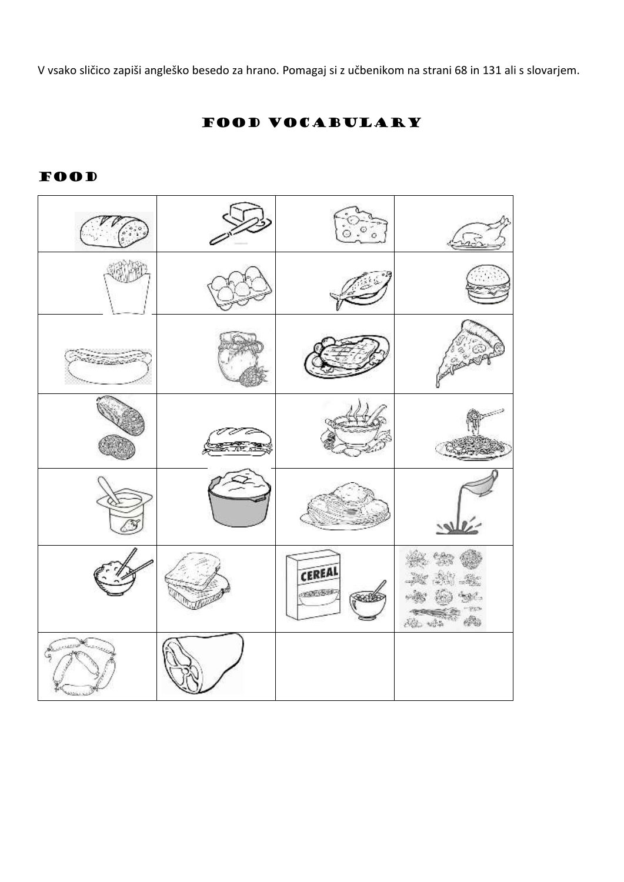V vsako sličico zapiši angleško besedo za hrano. Pomagaj si z učbenikom na strani 68 in 131 ali s slovarjem.

CEREAL CONFIDER X, S. 地震

# FOOD VOCABULARY

#### **FOOD**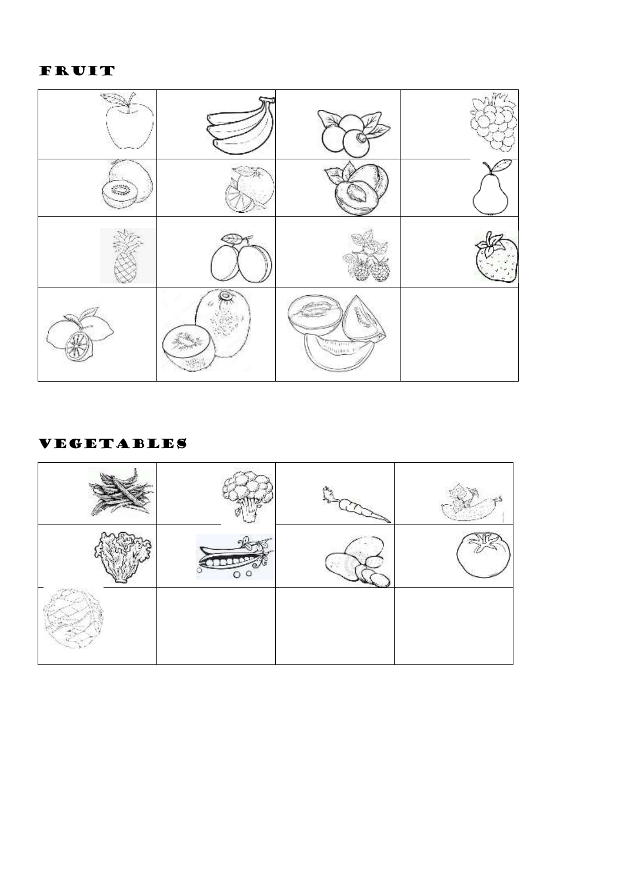# FRUIT



## VEGETABLES